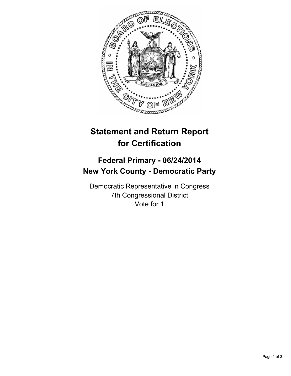

# **Statement and Return Report for Certification**

## **Federal Primary - 06/24/2014 New York County - Democratic Party**

Democratic Representative in Congress 7th Congressional District Vote for 1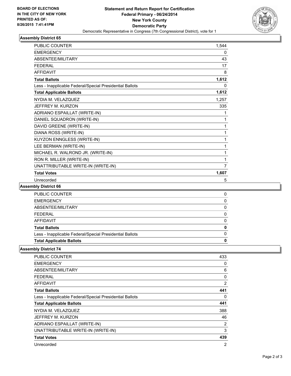

### **Assembly District 65**

| <b>PUBLIC COUNTER</b>                                    | 1,544 |
|----------------------------------------------------------|-------|
| <b>EMERGENCY</b>                                         | 0     |
| ABSENTEE/MILITARY                                        | 43    |
| <b>FEDERAL</b>                                           | 17    |
| <b>AFFIDAVIT</b>                                         | 8     |
| <b>Total Ballots</b>                                     | 1,612 |
| Less - Inapplicable Federal/Special Presidential Ballots | 0     |
| <b>Total Applicable Ballots</b>                          | 1,612 |
| NYDIA M. VELAZQUEZ                                       | 1,257 |
| JEFFREY M. KURZON                                        | 335   |
| ADRIANO ESPAILLAT (WRITE-IN)                             | 1     |
| DANIEL SQUADRON (WRITE-IN)                               | 1     |
| DAVID GREENE (WRITE-IN)                                  | 1     |
| DIANA ROSS (WRITE-IN)                                    | 1     |
| KUYZON ENNGLESS (WRITE-IN)                               | 1     |
| LEE BERMAN (WRITE-IN)                                    | 1     |
| MICHAEL R. WALROND JR. (WRITE-IN)                        | 1     |
| RON R. MILLER (WRITE-IN)                                 | 1     |
| UNATTRIBUTABLE WRITE-IN (WRITE-IN)                       | 7     |
| <b>Total Votes</b>                                       | 1,607 |
| Unrecorded                                               | 5     |

#### **Assembly District 66**

| <b>Total Applicable Ballots</b>                          |  |
|----------------------------------------------------------|--|
| Less - Inapplicable Federal/Special Presidential Ballots |  |
| <b>Total Ballots</b>                                     |  |
| AFFIDAVIT                                                |  |
| <b>FEDERAL</b>                                           |  |
| ABSENTEE/MILITARY                                        |  |
| <b>EMERGENCY</b>                                         |  |
| <b>PUBLIC COUNTER</b>                                    |  |

#### **Assembly District 74**

| <b>PUBLIC COUNTER</b>                                    | 433            |
|----------------------------------------------------------|----------------|
| <b>EMERGENCY</b>                                         | 0              |
| ABSENTEE/MILITARY                                        | 6              |
| FEDERAL                                                  | 0              |
| <b>AFFIDAVIT</b>                                         | $\overline{2}$ |
| <b>Total Ballots</b>                                     | 441            |
| Less - Inapplicable Federal/Special Presidential Ballots | 0              |
| <b>Total Applicable Ballots</b>                          | 441            |
| NYDIA M. VELAZQUEZ                                       | 388            |
| JEFFREY M. KURZON                                        | 46             |
| ADRIANO ESPAILLAT (WRITE-IN)                             | 2              |
| UNATTRIBUTABLE WRITE-IN (WRITE-IN)                       | 3              |
| <b>Total Votes</b>                                       | 439            |
| Unrecorded                                               | $\overline{2}$ |